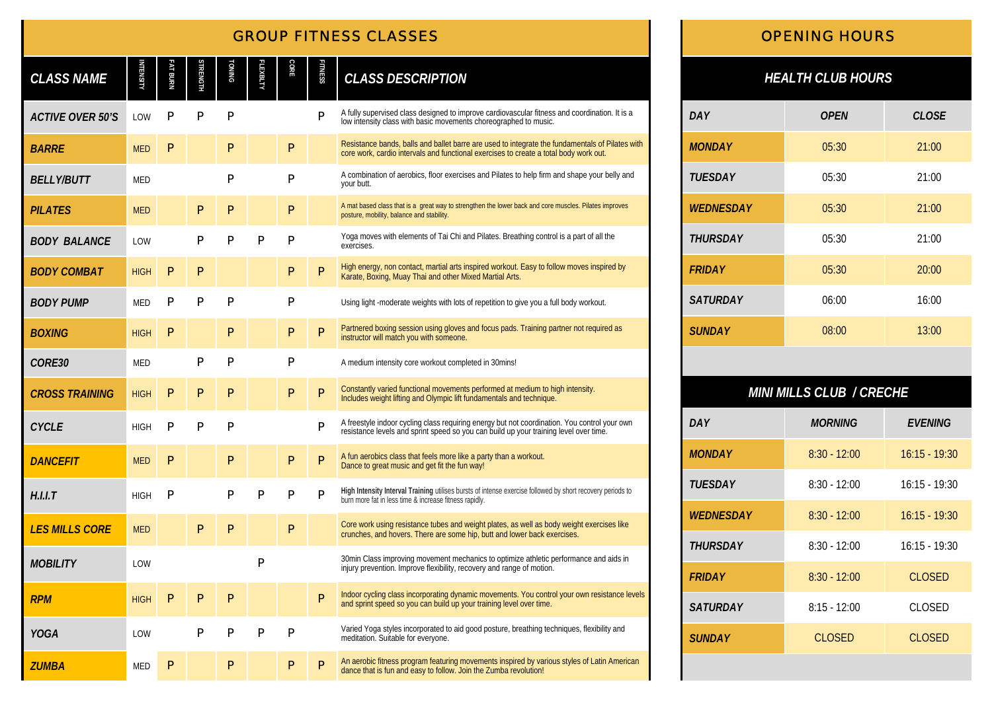# *GROUP FITNESS CLASSES*

| <b>CLASS NAME</b>       | <b>INTENSITY</b> | Fat Burn     | STRENGTH     | <b>TONING</b> | EXBLTY       | <b>CORE</b>  | <b>FITNESS</b> | <b>CLASS DESCRIPTION</b>                                                                                                                                                                 |
|-------------------------|------------------|--------------|--------------|---------------|--------------|--------------|----------------|------------------------------------------------------------------------------------------------------------------------------------------------------------------------------------------|
| <b>ACTIVE OVER 50'S</b> | LOW              | P            | P            | P             |              |              | P              | A fully supervised class designed to improve cardiovascular fitness and coordination. It is a<br>low intensity class with basic movements choreographed to music.                        |
| <b>BARRE</b>            | <b>MED</b>       | P            |              | P             |              | $\mathsf{P}$ |                | Resistance bands, balls and ballet barre are used to integrate the fundamentals of Pilates with<br>core work, cardio intervals and functional exercises to create a total body work out. |
| <b>BELLY/BUTT</b>       | <b>MED</b>       |              |              | P             |              | $\mathsf{P}$ |                | A combination of aerobics, floor exercises and Pilates to help firm and shape your belly and<br>vour butt.                                                                               |
| <b>PILATES</b>          | <b>MED</b>       |              | P            | $\mathsf{P}$  |              | $\mathsf{P}$ |                | A mat based class that is a great way to strengthen the lower back and core muscles. Pilates improves<br>posture, mobility, balance and stability.                                       |
| <b>BODY BALANCE</b>     | LOW              |              | P            | $\mathsf{P}$  | $\mathsf{P}$ | Ρ            |                | Yoga moves with elements of Tai Chi and Pilates. Breathing control is a part of all the<br>exercises.                                                                                    |
| <b>BODY COMBAT</b>      | <b>HIGH</b>      | $\mathsf{P}$ | $\mathsf{P}$ |               |              | Ρ            | P              | High energy, non contact, martial arts inspired workout. Easy to follow moves inspired by<br>Karate, Boxing, Muay Thai and other Mixed Martial Arts.                                     |
| <b>BODY PUMP</b>        | <b>MED</b>       | P            | Р            | Р             |              | Ρ            |                | Using light -moderate weights with lots of repetition to give you a full body workout.                                                                                                   |
| <b>BOXING</b>           | <b>HIGH</b>      | P            |              | P             |              | P            | P              | Partnered boxing session using gloves and focus pads. Training partner not required as<br>instructor will match you with someone.                                                        |
| CORE30                  | <b>MED</b>       |              | P            | P             |              | Ρ            |                | A medium intensity core workout completed in 30mins!                                                                                                                                     |
| <b>CROSS TRAINING</b>   | <b>HIGH</b>      | P            | P            | $\mathsf{P}$  |              | P            | P              | Constantly varied functional movements performed at medium to high intensity.<br>Includes weight lifting and Olympic lift fundamentals and technique.                                    |
| <b>CYCLE</b>            | <b>HIGH</b>      | P            | P            | P             |              |              | P              | A freestyle indoor cycling class requiring energy but not coordination. You control your own<br>resistance levels and sprint speed so you can build up your training level over time.    |
| <b>DANCEFIT</b>         | <b>MED</b>       | P            |              | $\mathsf{P}$  |              | $\mathsf{P}$ | P              | A fun aerobics class that feels more like a party than a workout.<br>Dance to great music and get fit the fun way!                                                                       |
| H.I.I.T                 | <b>HIGH</b>      | P            |              | $\mathsf{P}$  | $\mathsf{P}$ | P            | P              | High Intensity Interval Training utilises bursts of intense exercise followed by short recovery periods to<br>burn more fat in less time & increase fitness rapidly.                     |
| <b>LES MILLS CORE</b>   | <b>MED</b>       |              | P            | P             |              | Ρ            |                | Core work using resistance tubes and weight plates, as well as body weight exercises like<br>crunches, and hovers. There are some hip, butt and lower back exercises.                    |
| <b>MOBILITY</b>         | LOW              |              |              |               | P            |              |                | 30 min Class improving movement mechanics to optimize athletic performance and aids in<br>injury prevention. Improve flexibility, recovery and range of motion.                          |
| <b>RPM</b>              | <b>HIGH</b>      | P            | P            | P             |              |              | P              | Indoor cycling class incorporating dynamic movements. You control your own resistance levels<br>and sprint speed so you can build up your training level over time.                      |
| <b>YOGA</b>             | LOW              |              | P            | $\mathsf{P}$  | $\mathsf{P}$ | $\mathsf{P}$ |                | Varied Yoga styles incorporated to aid good posture, breathing techniques, flexibility and<br>meditation. Suitable for everyone.                                                         |
| <b>ZUMBA</b>            | <b>MED</b>       | $\mathsf{P}$ |              | $\mathsf{P}$  |              | P            | P              | An aerobic fitness program featuring movements inspired by various styles of Latin American<br>dance that is fun and easy to follow. Join the Zumba revolution!                          |

## *OPENING HOURS*

## *HEALTH CLUB HOURS*

| <b>DAY</b>       | <b>OPEN</b> | <b>CLOSE</b> |
|------------------|-------------|--------------|
| <b>MONDAY</b>    | 05:30       | 21:00        |
| <b>TUESDAY</b>   | 05:30       | 21:00        |
| <b>WEDNESDAY</b> | 05:30       | 21:00        |
| <b>THURSDAY</b>  | 05:30       | 21:00        |
| <b>FRIDAY</b>    | 05:30       | 20:00        |
| <b>SATURDAY</b>  | 06:00       | 16:00        |
| <b>SUNDAY</b>    | 08:00       | 13:00        |

## *MINI MILLS CLUB / CRECHE*

| DAY              | <b>MORNING</b> | <b>FVFNING</b>  |
|------------------|----------------|-----------------|
| <b>MONDAY</b>    | $8:30 - 12:00$ | $16:15 - 19:30$ |
| <b>TUESDAY</b>   | $8:30 - 12:00$ | $16:15 - 19:30$ |
| <b>WEDNESDAY</b> | $8:30 - 12:00$ | $16:15 - 19:30$ |
| <b>THURSDAY</b>  | $8:30 - 12:00$ | $16:15 - 19:30$ |
| <b>FRIDAY</b>    | $8:30 - 12:00$ | <b>CLOSED</b>   |
| <b>SATURDAY</b>  | $8:15 - 12:00$ | CLOSED          |
| <b>SUNDAY</b>    | <b>CLOSED</b>  | <b>CLOSED</b>   |
|                  |                |                 |